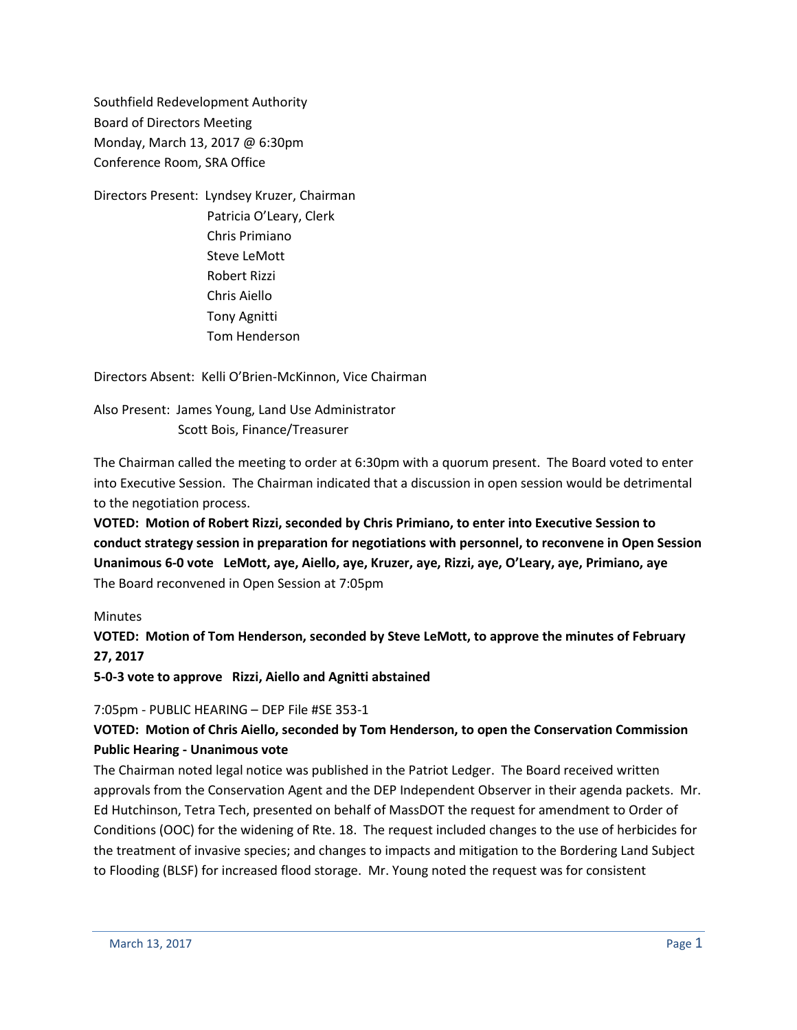Southfield Redevelopment Authority Board of Directors Meeting Monday, March 13, 2017 @ 6:30pm Conference Room, SRA Office

Directors Present: Lyndsey Kruzer, Chairman Patricia O'Leary, Clerk Chris Primiano Steve LeMott Robert Rizzi Chris Aiello Tony Agnitti Tom Henderson

Directors Absent: Kelli O'Brien-McKinnon, Vice Chairman

Also Present: James Young, Land Use Administrator Scott Bois, Finance/Treasurer

The Chairman called the meeting to order at 6:30pm with a quorum present. The Board voted to enter into Executive Session. The Chairman indicated that a discussion in open session would be detrimental to the negotiation process.

**VOTED: Motion of Robert Rizzi, seconded by Chris Primiano, to enter into Executive Session to conduct strategy session in preparation for negotiations with personnel, to reconvene in Open Session Unanimous 6-0 vote LeMott, aye, Aiello, aye, Kruzer, aye, Rizzi, aye, O'Leary, aye, Primiano, aye** The Board reconvened in Open Session at 7:05pm

### Minutes

**VOTED: Motion of Tom Henderson, seconded by Steve LeMott, to approve the minutes of February 27, 2017**

**5-0-3 vote to approve Rizzi, Aiello and Agnitti abstained**

7:05pm - PUBLIC HEARING – DEP File #SE 353-1

## **VOTED: Motion of Chris Aiello, seconded by Tom Henderson, to open the Conservation Commission Public Hearing - Unanimous vote**

The Chairman noted legal notice was published in the Patriot Ledger. The Board received written approvals from the Conservation Agent and the DEP Independent Observer in their agenda packets. Mr. Ed Hutchinson, Tetra Tech, presented on behalf of MassDOT the request for amendment to Order of Conditions (OOC) for the widening of Rte. 18. The request included changes to the use of herbicides for the treatment of invasive species; and changes to impacts and mitigation to the Bordering Land Subject to Flooding (BLSF) for increased flood storage. Mr. Young noted the request was for consistent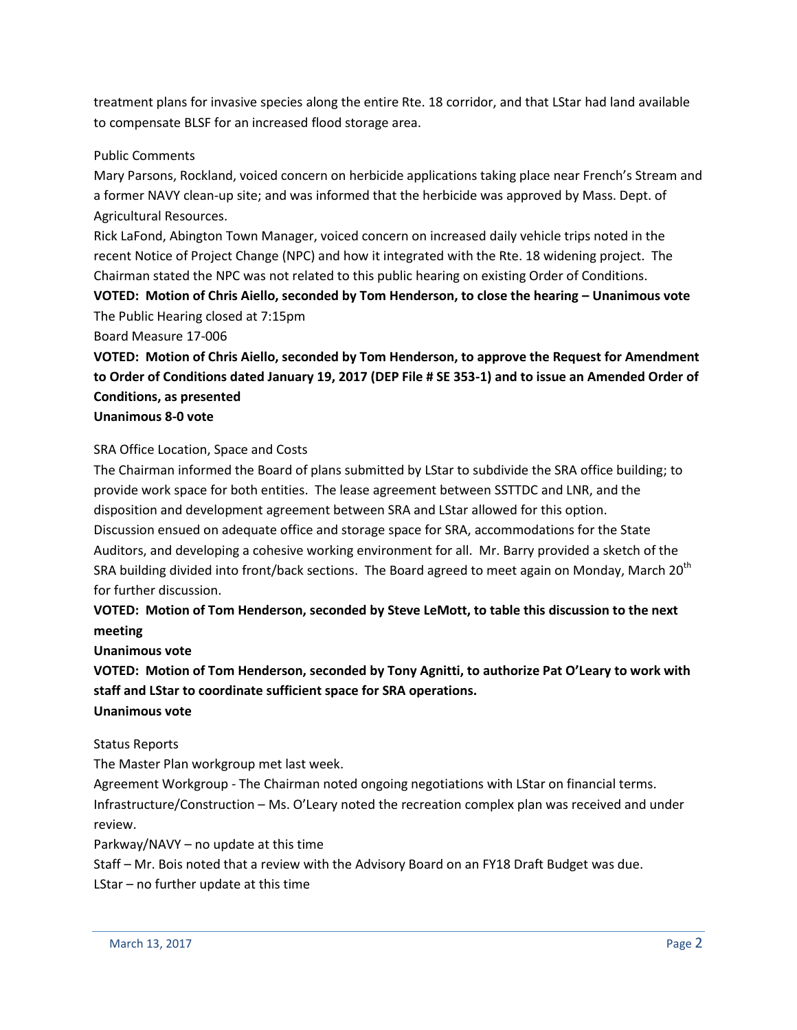treatment plans for invasive species along the entire Rte. 18 corridor, and that LStar had land available to compensate BLSF for an increased flood storage area.

### Public Comments

Mary Parsons, Rockland, voiced concern on herbicide applications taking place near French's Stream and a former NAVY clean-up site; and was informed that the herbicide was approved by Mass. Dept. of Agricultural Resources.

Rick LaFond, Abington Town Manager, voiced concern on increased daily vehicle trips noted in the recent Notice of Project Change (NPC) and how it integrated with the Rte. 18 widening project. The Chairman stated the NPC was not related to this public hearing on existing Order of Conditions. **VOTED: Motion of Chris Aiello, seconded by Tom Henderson, to close the hearing – Unanimous vote**

The Public Hearing closed at 7:15pm

Board Measure 17-006

**VOTED: Motion of Chris Aiello, seconded by Tom Henderson, to approve the Request for Amendment to Order of Conditions dated January 19, 2017 (DEP File # SE 353-1) and to issue an Amended Order of Conditions, as presented**

#### **Unanimous 8-0 vote**

### SRA Office Location, Space and Costs

The Chairman informed the Board of plans submitted by LStar to subdivide the SRA office building; to provide work space for both entities. The lease agreement between SSTTDC and LNR, and the disposition and development agreement between SRA and LStar allowed for this option. Discussion ensued on adequate office and storage space for SRA, accommodations for the State Auditors, and developing a cohesive working environment for all. Mr. Barry provided a sketch of the SRA building divided into front/back sections. The Board agreed to meet again on Monday, March 20<sup>th</sup> for further discussion.

## **VOTED: Motion of Tom Henderson, seconded by Steve LeMott, to table this discussion to the next meeting**

**Unanimous vote**

**VOTED: Motion of Tom Henderson, seconded by Tony Agnitti, to authorize Pat O'Leary to work with staff and LStar to coordinate sufficient space for SRA operations. Unanimous vote**

#### Status Reports

The Master Plan workgroup met last week.

Agreement Workgroup - The Chairman noted ongoing negotiations with LStar on financial terms. Infrastructure/Construction – Ms. O'Leary noted the recreation complex plan was received and under review.

Parkway/NAVY – no update at this time

Staff – Mr. Bois noted that a review with the Advisory Board on an FY18 Draft Budget was due.

LStar – no further update at this time